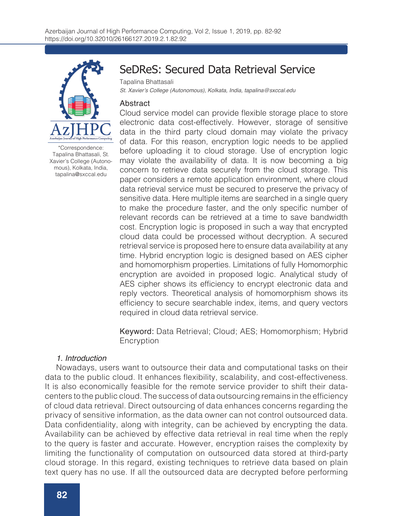

\*Correspondence: Tapalina Bhattasali, St. Xavier's College (Autonomous), Kolkata, India, tapalina@sxccal.edu

# SeDReS: Secured Data Retrieval Service

Tapalina Bhattasali

St. Xavier's College (Autonomous), Kolkata, India, tapalina@sxccal.edu

## Abstract

Cloud service model can provide flexible storage place to store electronic data cost-effectively. However, storage of sensitive data in the third party cloud domain may violate the privacy of data. For this reason, encryption logic needs to be applied before uploading it to cloud storage. Use of encryption logic may violate the availability of data. It is now becoming a big concern to retrieve data securely from the cloud storage. This paper considers a remote application environment, where cloud data retrieval service must be secured to preserve the privacy of sensitive data. Here multiple items are searched in a single query to make the procedure faster, and the only specific number of relevant records can be retrieved at a time to save bandwidth cost. Encryption logic is proposed in such a way that encrypted cloud data could be processed without decryption. A secured retrieval service is proposed here to ensure data availability at any time. Hybrid encryption logic is designed based on AES cipher and homomorphism properties. Limitations of fully Homomorphic encryption are avoided in proposed logic. Analytical study of AES cipher shows its efficiency to encrypt electronic data and reply vectors. Theoretical analysis of homomorphism shows its efficiency to secure searchable index, items, and query vectors required in cloud data retrieval service.

Keyword: Data Retrieval; Cloud; AES; Homomorphism; Hybrid Encryption

# 1. Introduction

Nowadays, users want to outsource their data and computational tasks on their data to the public cloud. It enhances flexibility, scalability, and cost-effectiveness. It is also economically feasible for the remote service provider to shift their datacenters to the public cloud. The success of data outsourcing remains in the efficiency of cloud data retrieval. Direct outsourcing of data enhances concerns regarding the privacy of sensitive information, as the data owner can not control outsourced data. Data confidentiality, along with integrity, can be achieved by encrypting the data. Availability can be achieved by effective data retrieval in real time when the reply to the query is faster and accurate. However, encryption raises the complexity by limiting the functionality of computation on outsourced data stored at third-party cloud storage. In this regard, existing techniques to retrieve data based on plain text query has no use. If all the outsourced data are decrypted before performing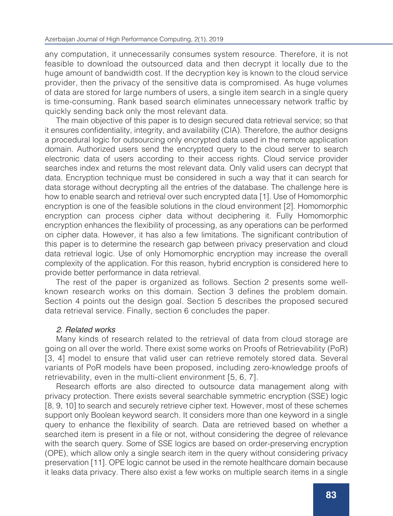any computation, it unnecessarily consumes system resource. Therefore, it is not feasible to download the outsourced data and then decrypt it locally due to the huge amount of bandwidth cost. If the decryption key is known to the cloud service provider, then the privacy of the sensitive data is compromised. As huge volumes of data are stored for large numbers of users, a single item search in a single query is time-consuming. Rank based search eliminates unnecessary network traffic by quickly sending back only the most relevant data.

The main objective of this paper is to design secured data retrieval service; so that it ensures confidentiality, integrity, and availability (CIA). Therefore, the author designs a procedural logic for outsourcing only encrypted data used in the remote application domain. Authorized users send the encrypted query to the cloud server to search electronic data of users according to their access rights. Cloud service provider searches index and returns the most relevant data. Only valid users can decrypt that data. Encryption technique must be considered in such a way that it can search for data storage without decrypting all the entries of the database. The challenge here is how to enable search and retrieval over such encrypted data [1]. Use of Homomorphic encryption is one of the feasible solutions in the cloud environment [2]. Homomorphic encryption can process cipher data without deciphering it. Fully Homomorphic encryption enhances the flexibility of processing, as any operations can be performed on cipher data. However, it has also a few limitations. The significant contribution of this paper is to determine the research gap between privacy preservation and cloud data retrieval logic. Use of only Homomorphic encryption may increase the overall complexity of the application. For this reason, hybrid encryption is considered here to provide better performance in data retrieval.

The rest of the paper is organized as follows. Section 2 presents some wellknown research works on this domain. Section 3 defines the problem domain. Section 4 points out the design goal. Section 5 describes the proposed secured data retrieval service. Finally, section 6 concludes the paper.

# 2. Related works

Many kinds of research related to the retrieval of data from cloud storage are going on all over the world. There exist some works on Proofs of Retrievability (PoR) [3, 4] model to ensure that valid user can retrieve remotely stored data. Several variants of PoR models have been proposed, including zero-knowledge proofs of retrievability, even in the multi-client environment [5, 6, 7].

Research efforts are also directed to outsource data management along with privacy protection. There exists several searchable symmetric encryption (SSE) logic [8, 9, 10] to search and securely retrieve cipher text. However, most of these schemes support only Boolean keyword search. It considers more than one keyword in a single query to enhance the flexibility of search. Data are retrieved based on whether a searched item is present in a file or not, without considering the degree of relevance with the search query. Some of SSE logics are based on order-preserving encryption (OPE), which allow only a single search item in the query without considering privacy preservation [11]. OPE logic cannot be used in the remote healthcare domain because it leaks data privacy. There also exist a few works on multiple search items in a single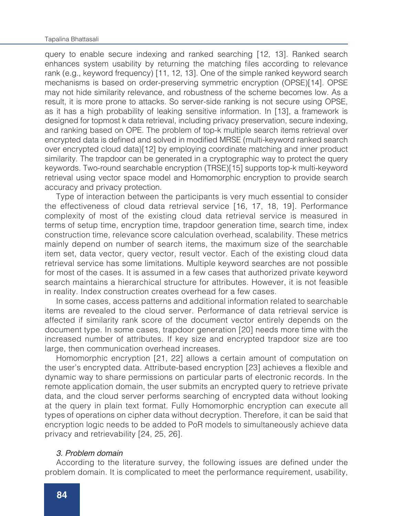#### Tapalina Bhattasali

query to enable secure indexing and ranked searching [12, 13]. Ranked search enhances system usability by returning the matching files according to relevance rank (e.g., keyword frequency) [11, 12, 13]. One of the simple ranked keyword search mechanisms is based on order-preserving symmetric encryption (OPSE)[14]. OPSE may not hide similarity relevance, and robustness of the scheme becomes low. As a result, it is more prone to attacks. So server-side ranking is not secure using OPSE, as it has a high probability of leaking sensitive information. In [13], a framework is designed for topmost k data retrieval, including privacy preservation, secure indexing, and ranking based on OPE. The problem of top-k multiple search items retrieval over encrypted data is defined and solved in modified MRSE (multi-keyword ranked search over encrypted cloud data)[12] by employing coordinate matching and inner product similarity. The trapdoor can be generated in a cryptographic way to protect the query keywords. Two-round searchable encryption (TRSE)[15] supports top-k multi-keyword retrieval using vector space model and Homomorphic encryption to provide search accuracy and privacy protection.

Type of interaction between the participants is very much essential to consider the effectiveness of cloud data retrieval service [16, 17, 18, 19]. Performance complexity of most of the existing cloud data retrieval service is measured in terms of setup time, encryption time, trapdoor generation time, search time, index construction time, relevance score calculation overhead, scalability. These metrics mainly depend on number of search items, the maximum size of the searchable item set, data vector, query vector, result vector. Each of the existing cloud data retrieval service has some limitations. Multiple keyword searches are not possible for most of the cases. It is assumed in a few cases that authorized private keyword search maintains a hierarchical structure for attributes. However, it is not feasible in reality. Index construction creates overhead for a few cases.

In some cases, access patterns and additional information related to searchable items are revealed to the cloud server. Performance of data retrieval service is affected if similarity rank score of the document vector entirely depends on the document type. In some cases, trapdoor generation [20] needs more time with the increased number of attributes. If key size and encrypted trapdoor size are too large, then communication overhead increases.

Homomorphic encryption [21, 22] allows a certain amount of computation on the user's encrypted data. Attribute-based encryption [23] achieves a flexible and dynamic way to share permissions on particular parts of electronic records. In the remote application domain, the user submits an encrypted query to retrieve private data, and the cloud server performs searching of encrypted data without looking at the query in plain text format. Fully Homomorphic encryption can execute all types of operations on cipher data without decryption. Therefore, it can be said that encryption logic needs to be added to PoR models to simultaneously achieve data privacy and retrievability [24, 25, 26].

# 3. Problem domain

According to the literature survey, the following issues are defined under the problem domain. It is complicated to meet the performance requirement, usability,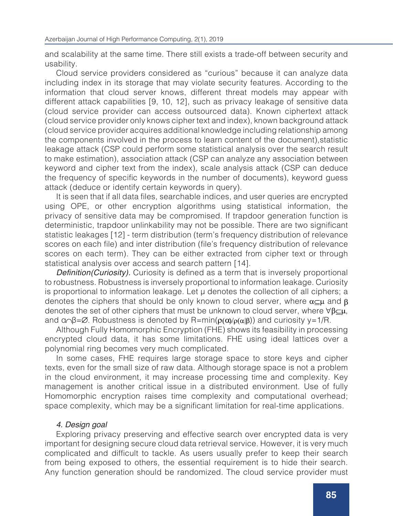and scalability at the same time. There still exists a trade-off between security and usability.

Cloud service providers considered as "curious" because it can analyze data including index in its storage that may violate security features. According to the information that cloud server knows, different threat models may appear with different attack capabilities [9, 10, 12], such as privacy leakage of sensitive data (cloud service provider can access outsourced data). Known ciphertext attack (cloud service provider only knows cipher text and index), known background attack (cloud service provider acquires additional knowledge including relationship among the components involved in the process to learn content of the document),statistic leakage attack (CSP could perform some statistical analysis over the search result to make estimation), association attack (CSP can analyze any association between keyword and cipher text from the index), scale analysis attack (CSP can deduce the frequency of specific keywords in the number of documents), keyword guess attack (deduce or identify certain keywords in query).

It is seen that if all data files, searchable indices, and user queries are encrypted using OPE, or other encryption algorithms using statistical information, the privacy of sensitive data may be compromised. If trapdoor generation function is deterministic, trapdoor unlinkability may not be possible. There are two significant statistic leakages [12] - term distribution (term's frequency distribution of relevance scores on each file) and inter distribution (file's frequency distribution of relevance scores on each term). They can be either extracted from cipher text or through statistical analysis over access and search pattern [14].

Definition(Curiosity). Curiosity is defined as a term that is inversely proportional to robustness. Robustness is inversely proportional to information leakage. Curiosity is proportional to information leakage. Let  $\mu$  denotes the collection of all ciphers; a denotes the ciphers that should be only known to cloud server, where  $\alpha \leq \mu$  and  $\beta$ denotes the set of other ciphers that must be unknown to cloud server, where  $\forall \beta \subset \mu$ , and  $\alpha \beta = \varnothing$ . Robustness is denoted by R=min( $\rho(\alpha)/\rho(\alpha|\beta)$ ) and curiosity y=1/R.

Although Fully Homomorphic Encryption (FHE) shows its feasibility in processing encrypted cloud data, it has some limitations. FHE using ideal lattices over a polynomial ring becomes very much complicated.

In some cases, FHE requires large storage space to store keys and cipher texts, even for the small size of raw data. Although storage space is not a problem in the cloud environment, it may increase processing time and complexity. Key management is another critical issue in a distributed environment. Use of fully Homomorphic encryption raises time complexity and computational overhead; space complexity, which may be a significant limitation for real-time applications.

# 4. Design goal

Exploring privacy preserving and effective search over encrypted data is very important for designing secure cloud data retrieval service. However, it is very much complicated and difficult to tackle. As users usually prefer to keep their search from being exposed to others, the essential requirement is to hide their search. Any function generation should be randomized. The cloud service provider must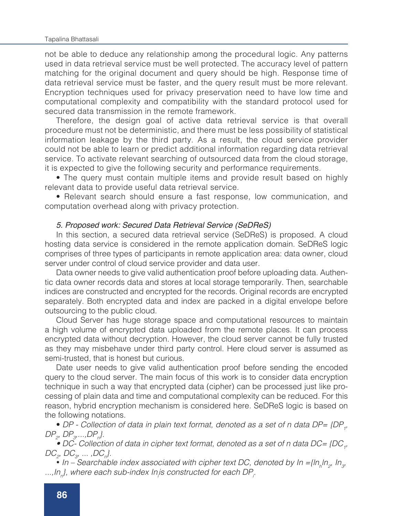#### Tapalina Bhattasali

not be able to deduce any relationship among the procedural logic. Any patterns used in data retrieval service must be well protected. The accuracy level of pattern matching for the original document and query should be high. Response time of data retrieval service must be faster, and the query result must be more relevant. Encryption techniques used for privacy preservation need to have low time and computational complexity and compatibility with the standard protocol used for secured data transmission in the remote framework.

Therefore, the design goal of active data retrieval service is that overall procedure must not be deterministic, and there must be less possibility of statistical information leakage by the third party. As a result, the cloud service provider could not be able to learn or predict additional information regarding data retrieval service. To activate relevant searching of outsourced data from the cloud storage, it is expected to give the following security and performance requirements.

• The query must contain multiple items and provide result based on highly relevant data to provide useful data retrieval service.

• Relevant search should ensure a fast response, low communication, and computation overhead along with privacy protection.

## 5. Proposed work: Secured Data Retrieval Service (SeDReS)

In this section, a secured data retrieval service (SeDReS) is proposed. A cloud hosting data service is considered in the remote application domain. SeDReS logic comprises of three types of participants in remote application area: data owner, cloud server under control of cloud service provider and data user.

Data owner needs to give valid authentication proof before uploading data. Authentic data owner records data and stores at local storage temporarily. Then, searchable indices are constructed and encrypted for the records. Original records are encrypted separately. Both encrypted data and index are packed in a digital envelope before outsourcing to the public cloud.

Cloud Server has huge storage space and computational resources to maintain a high volume of encrypted data uploaded from the remote places. It can process encrypted data without decryption. However, the cloud server cannot be fully trusted as they may misbehave under third party control. Here cloud server is assumed as semi-trusted, that is honest but curious.

Date user needs to give valid authentication proof before sending the encoded query to the cloud server. The main focus of this work is to consider data encryption technique in such a way that encrypted data (cipher) can be processed just like processing of plain data and time and computational complexity can be reduced. For this reason, hybrid encryption mechanism is considered here. SeDReS logic is based on the following notations.

• DP - Collection of data in plain text format, denoted as a set of n data DP= {DP<sub>1</sub>, *DP2 , DP3 ,...,DPn }.*

*• DC- Collection of data in cipher text format, denoted as a set of n data DC= {DC1 , DC<sub>2</sub>*, *DC<sub>3</sub>*, ... ,*DC<sub>n</sub>*}.

• In – Searchable index associated with cipher text DC, denoted by In ={ $ln<sub>h</sub>ln<sub>2</sub>$ , In<sub>3</sub>, *...,Inn }, where each sub-index Ini is constructed for each DPi .*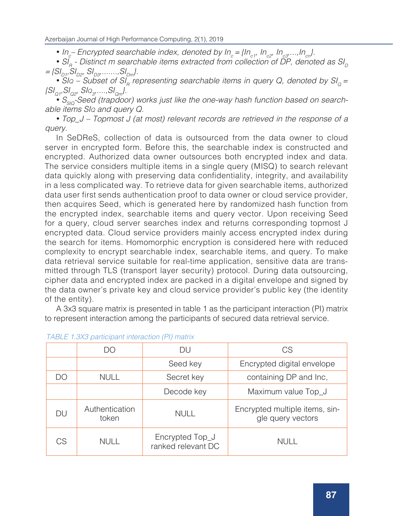• In<sub>c</sub>– Encrypted searchable index, denoted by In<sub>c</sub>={In<sub>c1</sub>, In<sub>c2</sub>, In<sub>c3</sub>,...,In<sub>cn</sub>}.

• SI<sub>n</sub> - Distinct m searchable items extracted from collection of DP, denoted as SI<sub>n</sub>  $=$   $\{SI_{D1}, SI_{D2}, SI_{D3}, \ldots, SI_{Dm}\}.$ 

•  $S/I_Q = SUBSet$  of  $SI_R = PIEBSE$  *SIA*<sup>2</sup> *searchable items in query Q, denoted by*  $SI_Q =$ *{SIQ1,SIQ2, SIq3 ,....,SIQm}.*

• S<sub>siq</sub>-Seed (trapdoor) works just like the one-way hash function based on search*able items SIq and query Q.*

• *Top\_J – Topmost J (at most) relevant records are retrieved in the response of a query.*

In SeDReS, collection of data is outsourced from the data owner to cloud server in encrypted form. Before this, the searchable index is constructed and encrypted. Authorized data owner outsources both encrypted index and data. The service considers multiple items in a single query (MISQ) to search relevant data quickly along with preserving data confidentiality, integrity, and availability in a less complicated way. To retrieve data for given searchable items, authorized data user first sends authentication proof to data owner or cloud service provider, then acquires Seed, which is generated here by randomized hash function from the encrypted index, searchable items and query vector. Upon receiving Seed for a query, cloud server searches index and returns corresponding topmost J encrypted data. Cloud service providers mainly access encrypted index during the search for items. Homomorphic encryption is considered here with reduced complexity to encrypt searchable index, searchable items, and query. To make data retrieval service suitable for real-time application, sensitive data are transmitted through TLS (transport layer security) protocol. During data outsourcing, cipher data and encrypted index are packed in a digital envelope and signed by the data owner's private key and cloud service provider's public key (the identity of the entity).

A 3x3 square matrix is presented in table 1 as the participant interaction (PI) matrix to represent interaction among the participants of secured data retrieval service.

|    | DO                      | DU                                    | CS                                                  |  |
|----|-------------------------|---------------------------------------|-----------------------------------------------------|--|
|    |                         | Seed key                              | Encrypted digital envelope                          |  |
| DO | <b>NULL</b>             | Secret key                            | containing DP and Inc,                              |  |
|    |                         | Decode key                            | Maximum value Top_J                                 |  |
| DU | Authentication<br>token | <b>NULL</b>                           | Encrypted multiple items, sin-<br>gle query vectors |  |
| CS | <b>NULL</b>             | Encrypted Top_J<br>ranked relevant DC | <b>NULL</b>                                         |  |

|  |  |  | TABLE 1.3X3 participant interaction (PI) matrix |  |  |
|--|--|--|-------------------------------------------------|--|--|
|--|--|--|-------------------------------------------------|--|--|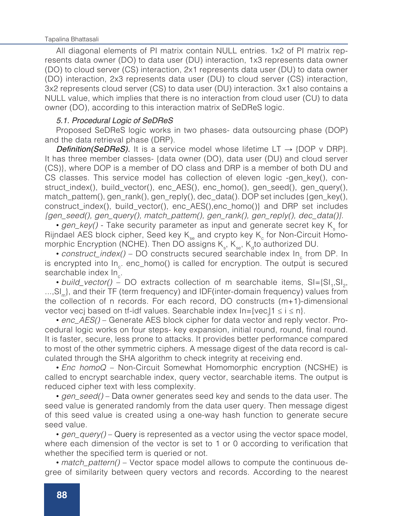#### Tapalina Bhattasali

All diagonal elements of PI matrix contain NULL entries. 1x2 of PI matrix represents data owner (DO) to data user (DU) interaction, 1x3 represents data owner (DO) to cloud server (CS) interaction, 2x1 represents data user (DU) to data owner (DO) interaction, 2x3 represents data user (DU) to cloud server (CS) interaction, 3x2 represents cloud server (CS) to data user (DU) interaction. 3x1 also contains a NULL value, which implies that there is no interaction from cloud user (CU) to data owner (DO), according to this interaction matrix of SeDReS logic.

# 5.1. Procedural Logic of SeDReS

Proposed SeDReS logic works in two phases- data outsourcing phase (DOP) and the data retrieval phase (DRP).

**Definition(SeDReS).** It is a service model whose lifetime LT  $\rightarrow$  {DOP v DRP}. It has three member classes- {data owner (DO), data user (DU) and cloud server (CS)}, where DOP is a member of DO class and DRP is a member of both DU and CS classes. This service model has collection of eleven logic -gen\_key(), construct\_index(), build\_vector(), enc\_AES(), enc\_homo(), gen\_seed(), gen\_query(), match\_pattem(), gen\_rank(), gen\_reply(), dec\_data(). DOP set includes {gen\_key(), construct\_index(), build\_vector(), enc\_AES(),enc\_homo()} and DRP set includes *{gen\_seed(), gen\_query(), match\_pattem(), gen\_rank(), gen\_reply(), dec\_data()}*.

• gen\_key() - Take security parameter as input and generate secret key K<sub>s</sub> for Rijndael AES block cipher, Seed key  $K_{\rm se}$  and crypto key  $K_{\rm c}$  for Non-Circuit Homomorphic Encryption (NCHE). Then DO assigns  $\mathsf{K}_{_{\mathrm{S}}}$ ,  $\mathsf{K}_{_{\mathrm{S}}$ to authorized DU.

• *construct\_index()* – DO constructs secured searchable index In from DP. In is encrypted into  $In_{\sim}$ . enc\_homo() is called for encryption. The output is secured searchable index  $In<sub>a</sub>$ .

• *build\_vector()* – DO extracts collection of m searchable items, SI={SI<sub>1</sub>,SI<sub>2</sub>,  $...,S<sub>n</sub>$ , and their TF (term frequency) and IDF(inter-domain frequency) values from the collection of n records. For each record, DO constructs (m+1)-dimensional vector vecj based on tf-idf values. Searchable index In={vec<sub>j</sub>|1 ≤ i ≤ n}.

• *enc\_AES()* – Generate AES block cipher for data vector and reply vector. Procedural logic works on four steps- key expansion, initial round, round, final round. It is faster, secure, less prone to attacks. It provides better performance compared to most of the other symmetric ciphers. A message digest of the data record is calculated through the SHA algorithm to check integrity at receiving end.

• *Enc homoQ* – Non-Circuit Somewhat Homomorphic encryption (NCSHE) is called to encrypt searchable index, query vector, searchable items. The output is reduced cipher text with less complexity.

• *gen\_seed()* – Data owner generates seed key and sends to the data user. The seed value is generated randomly from the data user query. Then message digest of this seed value is created using a one-way hash function to generate secure seed value.

• *gen\_query()* – Query is represented as a vector using the vector space model, where each dimension of the vector is set to 1 or 0 according to verification that whether the specified term is queried or not.

• *match\_pattern()* – Vector space model allows to compute the continuous degree of similarity between query vectors and records. According to the nearest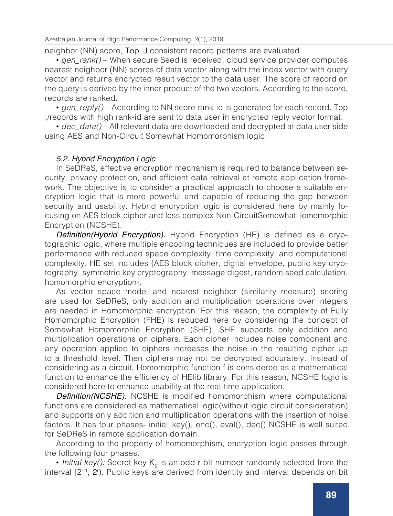neighbor (NN) score, Top\_J consistent record patterns are evaluated.

• *gen\_rank()* – When secure Seed is received, cloud service provider computes nearest neighbor (NN) scores of data vector along with the index vector with query vector and returns encrypted result vector to the data user. The score of record on the query is derived by the inner product of the two vectors. According to the score, records are ranked.

• *gen\_reply()* – According to NN score rank-id is generated for each record. Top ./records with high rank-id are sent to data user in encrypted reply vector format.

• *dec\_data()* – All relevant data are downloaded and decrypted at data user side using AES and Non-Circuit Somewhat Homomorphism logic.

# 5.2. Hybrid Encryption Logic

In SeDReS, effective encryption mechanism is required to balance between security, privacy protection, and efficient data retrieval at remote application framework. The objective is to consider a practical approach to choose a suitable encryption logic that is more powerful and capable of reducing the gap between security and usability. Hybrid encryption logic is considered here by mainly focusing on AES block cipher and less complex Non-CircuitSomewhatHomomorphic Encryption (NCSHE).

**Definition(Hybrid Encryption).** Hybrid Encryption (HE) is defined as a cryptographic logic, where multiple encoding techniques are included to provide better performance with reduced space complexity, time complexity, and computational complexity. HE set includes {AES block cipher, digital envelope, public key cryptography, symmetric key cryptography, message digest, random seed calculation, homomorphic encryption}.

As vector space model and nearest neighbor (similarity measure) scoring are used for SeDReS, only addition and multiplication operations over integers are needed in Homomorphic encryption. For this reason, the complexity of Fully Homomorphic Encryption (FHE) is reduced here by considering the concept of Somewhat Homomorphic Encryption (SHE). SHE supports only addition and multiplication operations on ciphers. Each cipher includes noise component and any operation applied to ciphers increases the noise in the resulting cipher up to a threshold level. Then ciphers may not be decrypted accurately. Instead of considering as a circuit, Homomorphic function f is considered as a mathematical function to enhance the efficiency of HElib library. For this reason, NCSHE logic is considered here to enhance usability at the real-time application.

**Definition(NCSHE).** NCSHE is modified homomorphism where computational functions are considered as mathematical logic(without logic circuit consideration) and supports only addition and multiplication operations with the insertion of noise factors. It has four phases- initial\_key(), enc(), eval(), dec() NCSHE is well suited for SeDReS in remote application domain.

According to the property of homomorphism, encryption logic passes through the following four phases.

• *Initial key():* Secret key  $K_5$  is an odd r bit number randomly selected from the interval [2r-1, 2<sup>r</sup> ). Public keys are derived from identity and interval depends on bit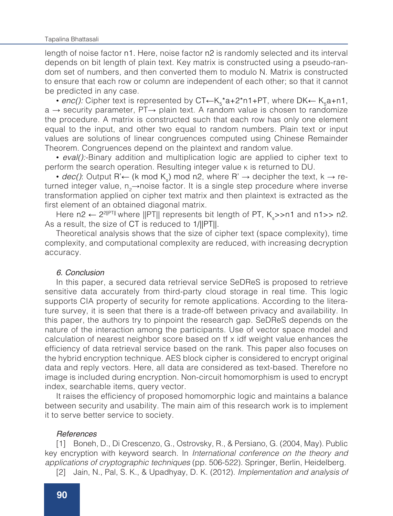length of noise factor n1. Here, noise factor n2 is randomly selected and its interval depends on bit length of plain text. Key matrix is constructed using a pseudo-random set of numbers, and then converted them to modulo N. Matrix is constructed to ensure that each row or column are independent of each other; so that it cannot be predicted in any case.

• enc(): Cipher text is represented by CT←K<sub>5</sub>\*a+2\*n1+PT, where DK← K<sub>5</sub>a+n1, a → security parameter, PT→ plain text. A random value is chosen to randomize the procedure. A matrix is constructed such that each row has only one element equal to the input, and other two equal to random numbers. Plain text or input values are solutions of linear congruences computed using Chinese Remainder Theorem. Congruences depend on the plaintext and random value.

• *eval():*-Binary addition and multiplication logic are applied to cipher text to perform the search operation. Resulting integer value <sup>k</sup> is returned to DU.

• *dec()*: Output R'← (k mod K<sub>s</sub>) mod n2, where R' → decipher the text, k → returned integer value, n<sub>a</sub>→noise factor. It is a single step procedure where inverse transformation applied on cipher text matrix and then plaintext is extracted as the first element of an obtained diagonal matrix.

Here n2 ← 2<sup>2∥PT∥</sup> where ||PT|| represents bit length of PT, K<sub>s</sub>>>n1 and n1>> n2. As a result, the size of CT is reduced to 1/||PT||.

Theoretical analysis shows that the size of cipher text (space complexity), time complexity, and computational complexity are reduced, with increasing decryption accuracy.

### 6. Conclusion

In this paper, a secured data retrieval service SeDReS is proposed to retrieve sensitive data accurately from third-party cloud storage in real time. This logic supports CIA property of security for remote applications. According to the literature survey, it is seen that there is a trade-off between privacy and availability. In this paper, the authors try to pinpoint the research gap. SeDReS depends on the nature of the interaction among the participants. Use of vector space model and calculation of nearest neighbor score based on tf x idf weight value enhances the efficiency of data retrieval service based on the rank. This paper also focuses on the hybrid encryption technique. AES block cipher is considered to encrypt original data and reply vectors. Here, all data are considered as text-based. Therefore no image is included during encryption. Non-circuit homomorphism is used to encrypt index, searchable items, query vector.

It raises the efficiency of proposed homomorphic logic and maintains a balance between security and usability. The main aim of this research work is to implement it to serve better service to society.

## References

[1] Boneh, D., Di Crescenzo, G., Ostrovsky, R., & Persiano, G. (2004, May). Public key encryption with keyword search. In *International conference on the theory and applications of cryptographic techniques* (pp. 506-522). Springer, Berlin, Heidelberg.

[2] Jain, N., Pal, S. K., & Upadhyay, D. K. (2012). *Implementation and analysis of*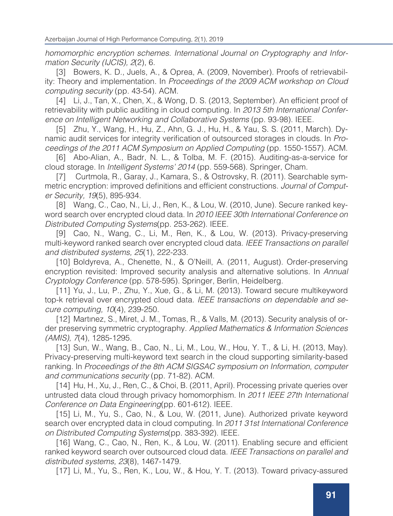*homomorphic encryption schemes. International Journal on Cryptography and Information Security (IJCIS), 2*(2), 6.

[3] Bowers, K. D., Juels, A., & Oprea, A. (2009, November). Proofs of retrievability: Theory and implementation. In *Proceedings of the 2009 ACM workshop on Cloud computing security* (pp. 43-54). ACM.

[4] Li, J., Tan, X., Chen, X., & Wong, D. S. (2013, September). An efficient proof of retrievability with public auditing in cloud computing. In *2013 5th International Conference on Intelligent Networking and Collaborative Systems* (pp. 93-98). IEEE.

[5] Zhu, Y., Wang, H., Hu, Z., Ahn, G. J., Hu, H., & Yau, S. S. (2011, March). Dynamic audit services for integrity verification of outsourced storages in clouds. In *Proceedings of the 2011 ACM Symposium on Applied Computing* (pp. 1550-1557). ACM.

[6] Abo-Alian, A., Badr, N. L., & Tolba, M. F. (2015). Auditing-as-a-service for cloud storage. In *Intelligent Systems' 2014* (pp. 559-568). Springer, Cham.

[7] Curtmola, R., Garay, J., Kamara, S., & Ostrovsky, R. (2011). Searchable symmetric encryption: improved definitions and efficient constructions. *Journal of Computer Security, 19*(5), 895-934.

[8] Wang, C., Cao, N., Li, J., Ren, K., & Lou, W. (2010, June). Secure ranked keyword search over encrypted cloud data. In *2010 IEEE 30th International Conference on Distributed Computing Systems*(pp. 253-262). IEEE.

[9] Cao, N., Wang, C., Li, M., Ren, K., & Lou, W. (2013). Privacy-preserving multi-keyword ranked search over encrypted cloud data. *IEEE Transactions on parallel and distributed systems, 25*(1), 222-233.

[10] Boldyreva, A., Chenette, N., & O'Neill, A. (2011, August). Order-preserving encryption revisited: Improved security analysis and alternative solutions. In *Annual Cryptology Conference* (pp. 578-595). Springer, Berlin, Heidelberg.

[11] Yu, J., Lu, P., Zhu, Y., Xue, G., & Li, M. (2013). Toward secure multikeyword top-k retrieval over encrypted cloud data. *IEEE transactions on dependable and secure computing, 10*(4), 239-250.

[12] Martınez, S., Miret, J. M., Tomas, R., & Valls, M. (2013). Security analysis of order preserving symmetric cryptography. *Applied Mathematics & Information Sciences (AMIS), 7*(4), 1285-1295.

[13] Sun, W., Wang, B., Cao, N., Li, M., Lou, W., Hou, Y. T., & Li, H. (2013, May). Privacy-preserving multi-keyword text search in the cloud supporting similarity-based ranking. In *Proceedings of the 8th ACM SIGSAC symposium on Information, computer and communications security* (pp. 71-82). ACM.

[14] Hu, H., Xu, J., Ren, C., & Choi, B. (2011, April). Processing private queries over untrusted data cloud through privacy homomorphism. In *2011 IEEE 27th International Conference on Data Engineering*(pp. 601-612). IEEE.

[15] Li, M., Yu, S., Cao, N., & Lou, W. (2011, June). Authorized private keyword search over encrypted data in cloud computing. In *2011 31st International Conference on Distributed Computing Systems*(pp. 383-392). IEEE.

[16] Wang, C., Cao, N., Ren, K., & Lou, W. (2011). Enabling secure and efficient ranked keyword search over outsourced cloud data. *IEEE Transactions on parallel and distributed systems, 23*(8), 1467-1479.

[17] Li, M., Yu, S., Ren, K., Lou, W., & Hou, Y. T. (2013). Toward privacy-assured